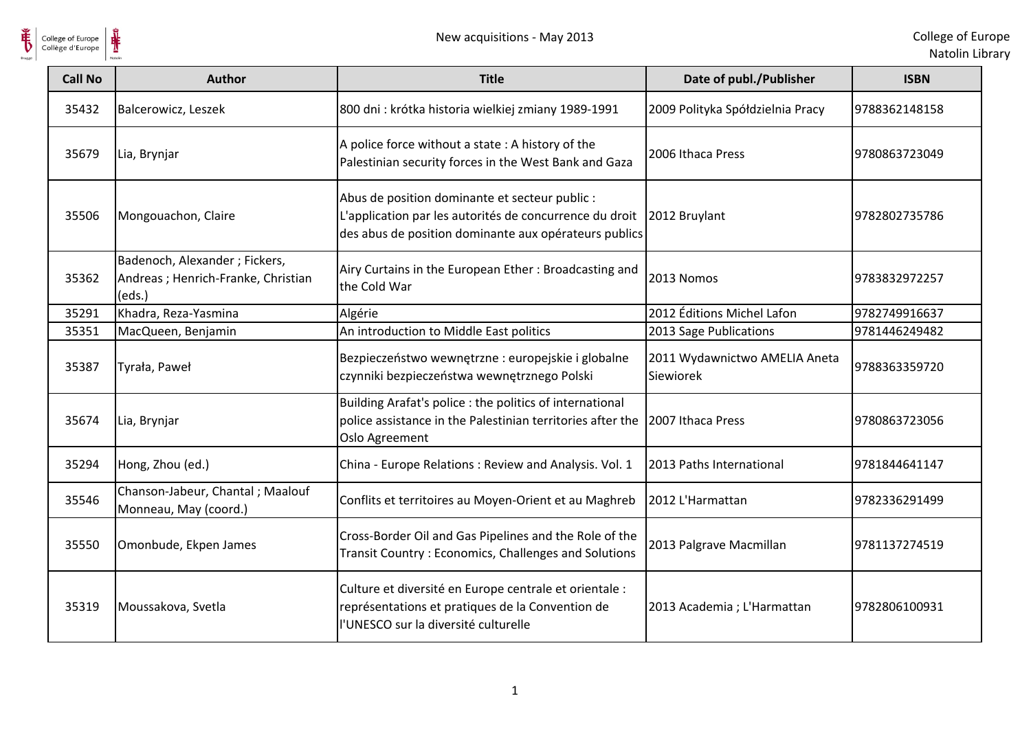

| <b>Call No</b> | <b>Author</b>                                                                 | <b>Title</b>                                                                                                                                                       | Date of publ./Publisher                    | <b>ISBN</b>   |
|----------------|-------------------------------------------------------------------------------|--------------------------------------------------------------------------------------------------------------------------------------------------------------------|--------------------------------------------|---------------|
| 35432          | Balcerowicz, Leszek                                                           | 800 dni : krótka historia wielkiej zmiany 1989-1991                                                                                                                | 2009 Polityka Spółdzielnia Pracy           | 9788362148158 |
| 35679          | Lia, Brynjar                                                                  | A police force without a state : A history of the<br>Palestinian security forces in the West Bank and Gaza                                                         | 2006 Ithaca Press                          | 9780863723049 |
| 35506          | Mongouachon, Claire                                                           | Abus de position dominante et secteur public :<br>L'application par les autorités de concurrence du droit<br>des abus de position dominante aux opérateurs publics | 2012 Bruylant                              | 9782802735786 |
| 35362          | Badenoch, Alexander; Fickers,<br>Andreas; Henrich-Franke, Christian<br>(eds.) | Airy Curtains in the European Ether: Broadcasting and<br>the Cold War                                                                                              | 2013 Nomos                                 | 9783832972257 |
| 35291          | Khadra, Reza-Yasmina                                                          | Algérie                                                                                                                                                            | 2012 Éditions Michel Lafon                 | 9782749916637 |
| 35351          | MacQueen, Benjamin                                                            | An introduction to Middle East politics                                                                                                                            | 2013 Sage Publications                     | 9781446249482 |
| 35387          | Tyrała, Paweł                                                                 | Bezpieczeństwo wewnętrzne : europejskie i globalne<br>czynniki bezpieczeństwa wewnętrznego Polski                                                                  | 2011 Wydawnictwo AMELIA Aneta<br>Siewiorek | 9788363359720 |
| 35674          | Lia, Brynjar                                                                  | Building Arafat's police : the politics of international<br>police assistance in the Palestinian territories after the<br>Oslo Agreement                           | 2007 Ithaca Press                          | 9780863723056 |
| 35294          | Hong, Zhou (ed.)                                                              | China - Europe Relations: Review and Analysis. Vol. 1                                                                                                              | 2013 Paths International                   | 9781844641147 |
| 35546          | Chanson-Jabeur, Chantal; Maalouf<br>Monneau, May (coord.)                     | Conflits et territoires au Moyen-Orient et au Maghreb                                                                                                              | 2012 L'Harmattan                           | 9782336291499 |
| 35550          | Omonbude, Ekpen James                                                         | Cross-Border Oil and Gas Pipelines and the Role of the<br>Transit Country: Economics, Challenges and Solutions                                                     | 2013 Palgrave Macmillan                    | 9781137274519 |
| 35319          | Moussakova, Svetla                                                            | Culture et diversité en Europe centrale et orientale :<br>représentations et pratiques de la Convention de<br>l'UNESCO sur la diversité culturelle                 | 2013 Academia; L'Harmattan                 | 9782806100931 |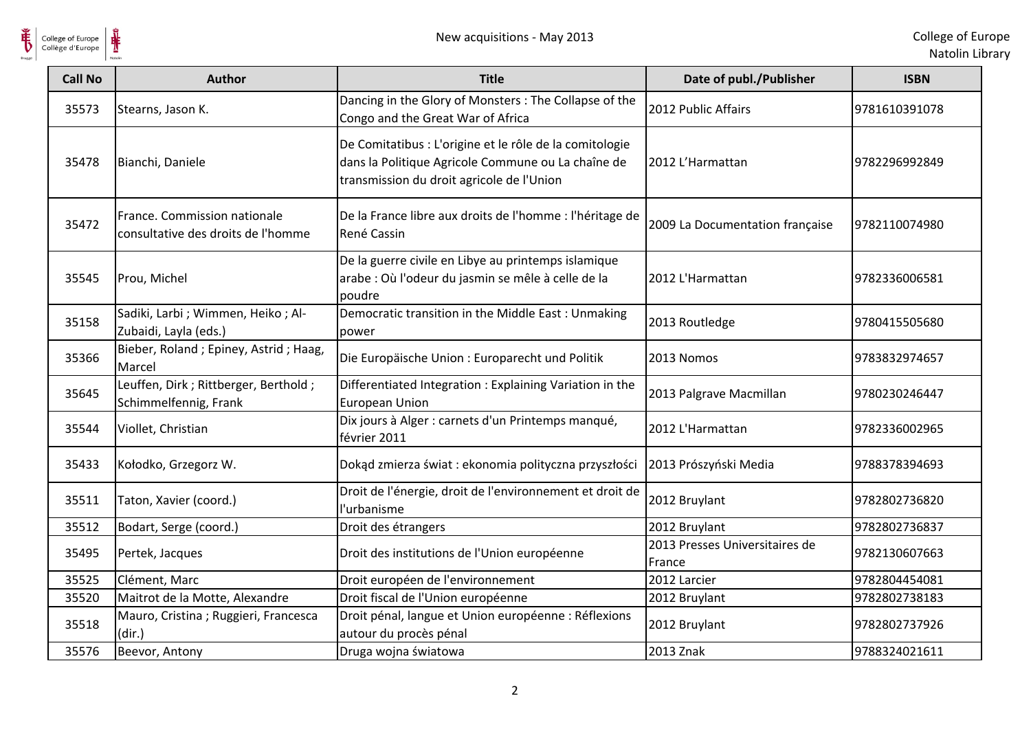

| <b>Call No</b> | <b>Author</b>                                                      | <b>Title</b>                                                                                                                                               | Date of publ./Publisher                  | <b>ISBN</b>   |
|----------------|--------------------------------------------------------------------|------------------------------------------------------------------------------------------------------------------------------------------------------------|------------------------------------------|---------------|
| 35573          | Stearns, Jason K.                                                  | Dancing in the Glory of Monsters : The Collapse of the<br>Congo and the Great War of Africa                                                                | 2012 Public Affairs                      | 9781610391078 |
| 35478          | Bianchi, Daniele                                                   | De Comitatibus : L'origine et le rôle de la comitologie<br>dans la Politique Agricole Commune ou La chaîne de<br>transmission du droit agricole de l'Union | 2012 L'Harmattan                         | 9782296992849 |
| 35472          | France. Commission nationale<br>consultative des droits de l'homme | De la France libre aux droits de l'homme : l'héritage de<br>René Cassin                                                                                    | 2009 La Documentation française          | 9782110074980 |
| 35545          | Prou, Michel                                                       | De la guerre civile en Libye au printemps islamique<br>arabe : Où l'odeur du jasmin se mêle à celle de la<br>poudre                                        | 2012 L'Harmattan                         | 9782336006581 |
| 35158          | Sadiki, Larbi; Wimmen, Heiko; Al-<br>Zubaidi, Layla (eds.)         | Democratic transition in the Middle East: Unmaking<br>power                                                                                                | 2013 Routledge                           | 9780415505680 |
| 35366          | Bieber, Roland; Epiney, Astrid; Haag,<br>Marcel                    | Die Europäische Union : Europarecht und Politik                                                                                                            | 2013 Nomos                               | 9783832974657 |
| 35645          | Leuffen, Dirk; Rittberger, Berthold;<br>Schimmelfennig, Frank      | Differentiated Integration: Explaining Variation in the<br><b>European Union</b>                                                                           | 2013 Palgrave Macmillan                  | 9780230246447 |
| 35544          | Viollet, Christian                                                 | Dix jours à Alger : carnets d'un Printemps manqué,<br>février 2011                                                                                         | 2012 L'Harmattan                         | 9782336002965 |
| 35433          | Kołodko, Grzegorz W.                                               | Dokąd zmierza świat: ekonomia polityczna przyszłości                                                                                                       | 2013 Prószyński Media                    | 9788378394693 |
| 35511          | Taton, Xavier (coord.)                                             | Droit de l'énergie, droit de l'environnement et droit de<br>l'urbanisme                                                                                    | 2012 Bruylant                            | 9782802736820 |
| 35512          | Bodart, Serge (coord.)                                             | Droit des étrangers                                                                                                                                        | 2012 Bruylant                            | 9782802736837 |
| 35495          | Pertek, Jacques                                                    | Droit des institutions de l'Union européenne                                                                                                               | 2013 Presses Universitaires de<br>France | 9782130607663 |
| 35525          | Clément, Marc                                                      | Droit européen de l'environnement                                                                                                                          | 2012 Larcier                             | 9782804454081 |
| 35520          | Maitrot de la Motte, Alexandre                                     | Droit fiscal de l'Union européenne                                                                                                                         | 2012 Bruylant                            | 9782802738183 |
| 35518          | Mauro, Cristina ; Ruggieri, Francesca<br>(dir.)                    | Droit pénal, langue et Union européenne : Réflexions<br>autour du procès pénal                                                                             | 2012 Bruylant                            | 9782802737926 |
| 35576          | Beevor, Antony                                                     | Druga wojna światowa                                                                                                                                       | 2013 Znak                                | 9788324021611 |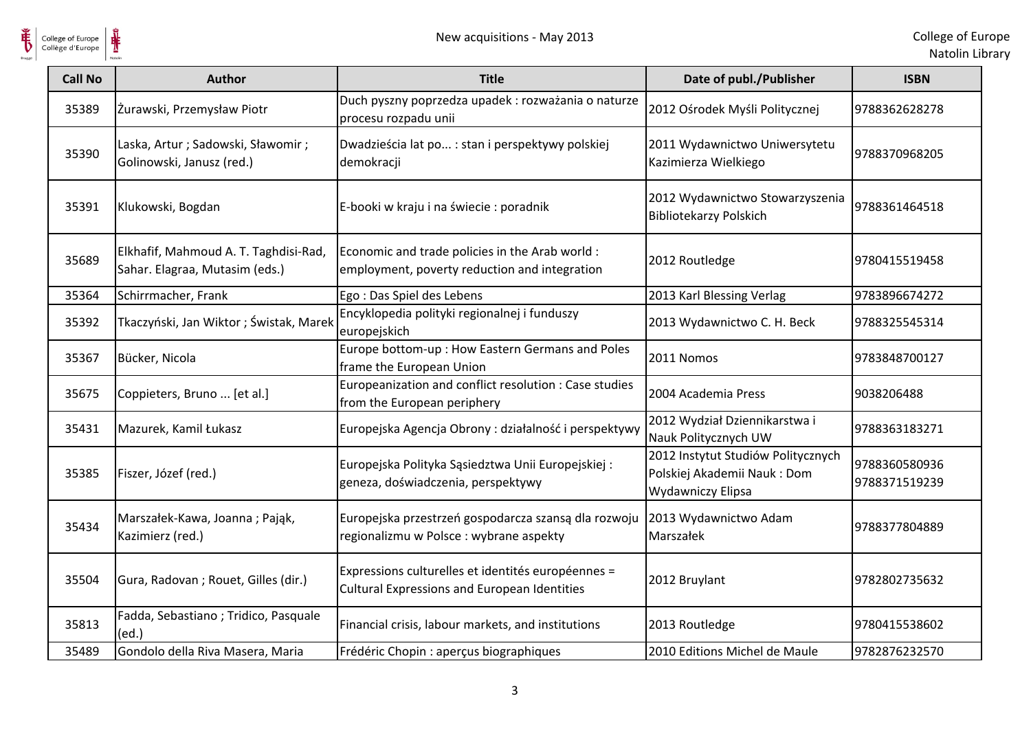

 $\frac{1}{\frac{1}{\sqrt{2}}}\sum_{\text{National}}$ College of Europe

| <b>Call No</b> | <b>Author</b>                                                           | <b>Title</b>                                                                                              | Date of publ./Publisher                                                                | <b>ISBN</b>                    |
|----------------|-------------------------------------------------------------------------|-----------------------------------------------------------------------------------------------------------|----------------------------------------------------------------------------------------|--------------------------------|
| 35389          | Żurawski, Przemysław Piotr                                              | Duch pyszny poprzedza upadek: rozważania o naturze<br>procesu rozpadu unii                                | 2012 Ośrodek Myśli Politycznej                                                         | 9788362628278                  |
| 35390          | Laska, Artur; Sadowski, Sławomir;<br>Golinowski, Janusz (red.)          | Dwadzieścia lat po : stan i perspektywy polskiej<br>demokracji                                            | 2011 Wydawnictwo Uniwersytetu<br>Kazimierza Wielkiego                                  | 9788370968205                  |
| 35391          | Klukowski, Bogdan                                                       | E-booki w kraju i na świecie: poradnik                                                                    | 2012 Wydawnictwo Stowarzyszenia<br><b>Bibliotekarzy Polskich</b>                       | 9788361464518                  |
| 35689          | Elkhafif, Mahmoud A. T. Taghdisi-Rad,<br>Sahar. Elagraa, Mutasim (eds.) | Economic and trade policies in the Arab world :<br>employment, poverty reduction and integration          | 2012 Routledge                                                                         | 9780415519458                  |
| 35364          | Schirrmacher, Frank                                                     | Ego: Das Spiel des Lebens                                                                                 | 2013 Karl Blessing Verlag                                                              | 9783896674272                  |
| 35392          | Tkaczyński, Jan Wiktor ; Świstak, Marek                                 | Encyklopedia polityki regionalnej i funduszy<br>europejskich                                              | 2013 Wydawnictwo C. H. Beck                                                            | 9788325545314                  |
| 35367          | Bücker, Nicola                                                          | Europe bottom-up : How Eastern Germans and Poles<br>frame the European Union                              | 2011 Nomos                                                                             | 9783848700127                  |
| 35675          | Coppieters, Bruno  [et al.]                                             | Europeanization and conflict resolution : Case studies<br>from the European periphery                     | 2004 Academia Press                                                                    | 9038206488                     |
| 35431          | Mazurek, Kamil Łukasz                                                   | Europejska Agencja Obrony: działalność i perspektywy                                                      | 2012 Wydział Dziennikarstwa i<br>Nauk Politycznych UW                                  | 9788363183271                  |
| 35385          | Fiszer, Józef (red.)                                                    | Europejska Polityka Sąsiedztwa Unii Europejskiej:<br>geneza, doświadczenia, perspektywy                   | 2012 Instytut Studiów Politycznych<br>Polskiej Akademii Nauk: Dom<br>Wydawniczy Elipsa | 9788360580936<br>9788371519239 |
| 35434          | Marszałek-Kawa, Joanna; Pająk,<br>Kazimierz (red.)                      | Europejska przestrzeń gospodarcza szansą dla rozwoju<br>regionalizmu w Polsce : wybrane aspekty           | 2013 Wydawnictwo Adam<br>Marszałek                                                     | 9788377804889                  |
| 35504          | Gura, Radovan; Rouet, Gilles (dir.)                                     | Expressions culturelles et identités européennes =<br><b>Cultural Expressions and European Identities</b> | 2012 Bruylant                                                                          | 9782802735632                  |
| 35813          | Fadda, Sebastiano; Tridico, Pasquale<br>(ed.)                           | Financial crisis, labour markets, and institutions                                                        | 2013 Routledge                                                                         | 9780415538602                  |
| 35489          | Gondolo della Riva Masera, Maria                                        | Frédéric Chopin : aperçus biographiques                                                                   | 2010 Editions Michel de Maule                                                          | 9782876232570                  |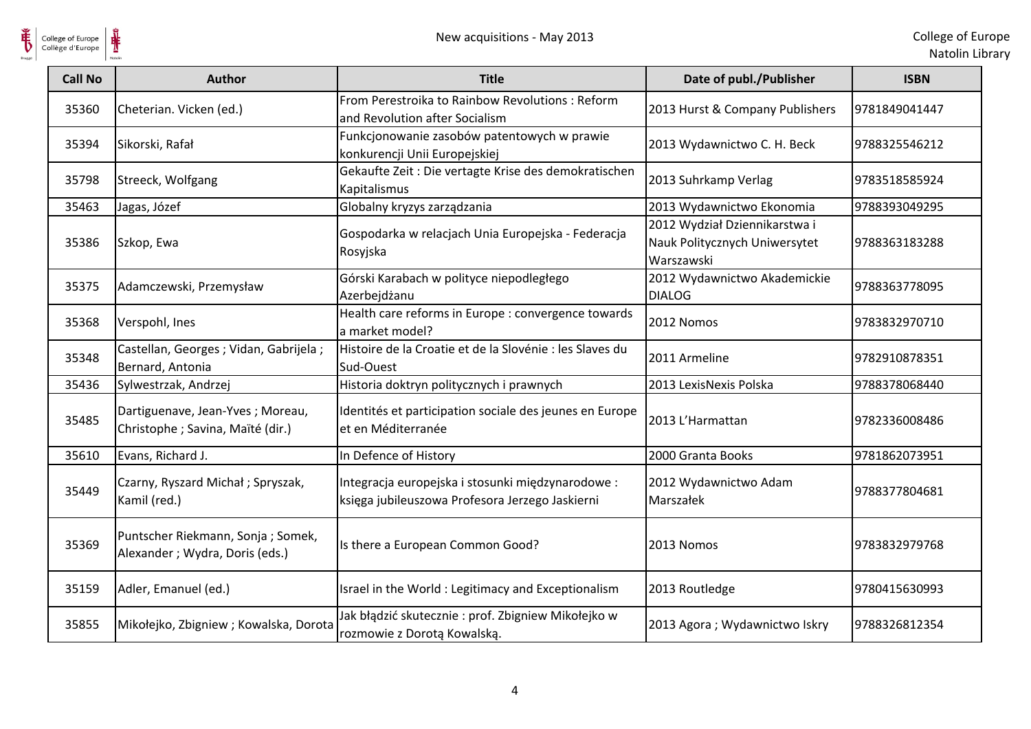

| College of Europe<br>Collège d'Europe | ⋕                                                                      | New acquisitions - May 2013                                                                         |                                                                              | College of Eur<br>Natolin Lib |
|---------------------------------------|------------------------------------------------------------------------|-----------------------------------------------------------------------------------------------------|------------------------------------------------------------------------------|-------------------------------|
| <b>Call No</b>                        | <b>Author</b>                                                          | <b>Title</b>                                                                                        | Date of publ./Publisher                                                      | <b>ISBN</b>                   |
| 35360                                 | Cheterian. Vicken (ed.)                                                | From Perestroika to Rainbow Revolutions: Reform<br>and Revolution after Socialism                   | 2013 Hurst & Company Publishers                                              | 9781849041447                 |
| 35394                                 | Sikorski, Rafał                                                        | Funkcjonowanie zasobów patentowych w prawie<br>konkurencji Unii Europejskiej                        | 2013 Wydawnictwo C. H. Beck                                                  | 9788325546212                 |
| 35798                                 | Streeck, Wolfgang                                                      | Gekaufte Zeit : Die vertagte Krise des demokratischen<br>Kapitalismus                               | 2013 Suhrkamp Verlag                                                         | 9783518585924                 |
| 35463                                 | Jagas, Józef                                                           | Globalny kryzys zarządzania                                                                         | 2013 Wydawnictwo Ekonomia                                                    | 9788393049295                 |
| 35386                                 | Szkop, Ewa                                                             | Gospodarka w relacjach Unia Europejska - Federacja<br>Rosyjska                                      | 2012 Wydział Dziennikarstwa i<br>Nauk Politycznych Uniwersytet<br>Warszawski | 9788363183288                 |
| 35375                                 | Adamczewski, Przemysław                                                | Górski Karabach w polityce niepodległego<br>Azerbejdżanu                                            | 2012 Wydawnictwo Akademickie<br><b>DIALOG</b>                                | 9788363778095                 |
| 35368                                 | Verspohl, Ines                                                         | Health care reforms in Europe : convergence towards<br>a market model?                              | 2012 Nomos                                                                   | 9783832970710                 |
| 35348                                 | Castellan, Georges; Vidan, Gabrijela;<br>Bernard, Antonia              | Histoire de la Croatie et de la Slovénie : les Slaves du<br>Sud-Ouest                               | 2011 Armeline                                                                | 9782910878351                 |
| 35436                                 | Sylwestrzak, Andrzej                                                   | Historia doktryn politycznych i prawnych                                                            | 2013 LexisNexis Polska                                                       | 9788378068440                 |
| 35485                                 | Dartiguenave, Jean-Yves ; Moreau,<br>Christophe ; Savina, Maïté (dir.) | Identités et participation sociale des jeunes en Europe<br>et en Méditerranée                       | 2013 L'Harmattan                                                             | 9782336008486                 |
| 35610                                 | Evans, Richard J.                                                      | In Defence of History                                                                               | 2000 Granta Books                                                            | 9781862073951                 |
| 35449                                 | Czarny, Ryszard Michał; Spryszak,<br>Kamil (red.)                      | Integracja europejska i stosunki międzynarodowe:<br>księga jubileuszowa Profesora Jerzego Jaskierni | 2012 Wydawnictwo Adam<br>Marszałek                                           | 9788377804681                 |
| 35369                                 | Puntscher Riekmann, Sonja; Somek,<br>Alexander; Wydra, Doris (eds.)    | Is there a European Common Good?                                                                    | 2013 Nomos                                                                   | 9783832979768                 |
| 35159                                 | Adler, Emanuel (ed.)                                                   | Israel in the World : Legitimacy and Exceptionalism                                                 | 2013 Routledge                                                               | 9780415630993                 |
| 35855                                 | Mikołejko, Zbigniew; Kowalska, Dorota                                  | Jak błądzić skutecznie: prof. Zbigniew Mikołejko w<br>rozmowie z Dorotą Kowalską.                   | 2013 Agora ; Wydawnictwo Iskry                                               | 9788326812354                 |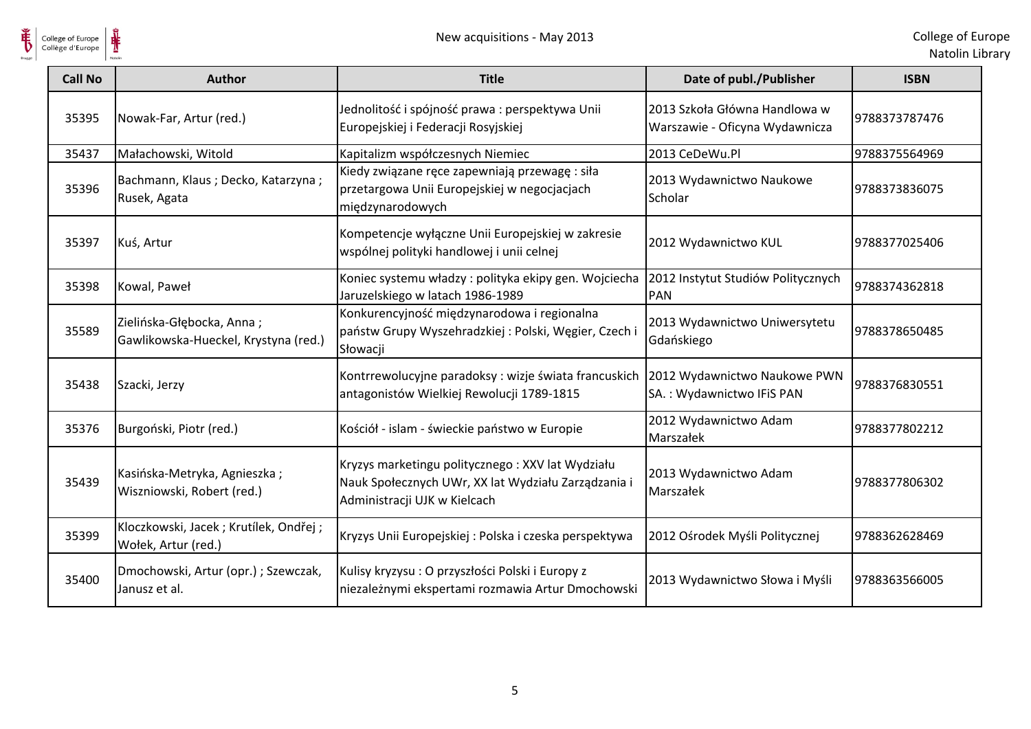

| <b>Call No</b> | <b>Author</b>                                                     | <b>Title</b>                                                                                                                            | Date of publ./Publisher                                         | <b>ISBN</b>   |
|----------------|-------------------------------------------------------------------|-----------------------------------------------------------------------------------------------------------------------------------------|-----------------------------------------------------------------|---------------|
| 35395          | Nowak-Far, Artur (red.)                                           | Jednolitość i spójność prawa : perspektywa Unii<br>Europejskiej i Federacji Rosyjskiej                                                  | 2013 Szkoła Główna Handlowa w<br>Warszawie - Oficyna Wydawnicza | 9788373787476 |
| 35437          | Małachowski, Witold                                               | Kapitalizm współczesnych Niemiec                                                                                                        | 2013 CeDeWu.Pl                                                  | 9788375564969 |
| 35396          | Bachmann, Klaus; Decko, Katarzyna;<br>Rusek, Agata                | Kiedy związane ręce zapewniają przewagę : siła<br>przetargowa Unii Europejskiej w negocjacjach<br>międzynarodowych                      | 2013 Wydawnictwo Naukowe<br>Scholar                             | 9788373836075 |
| 35397          | Kuś, Artur                                                        | Kompetencje wyłączne Unii Europejskiej w zakresie<br>wspólnej polityki handlowej i unii celnej                                          | 2012 Wydawnictwo KUL                                            | 9788377025406 |
| 35398          | Kowal, Paweł                                                      | Koniec systemu władzy: polityka ekipy gen. Wojciecha<br>Jaruzelskiego w latach 1986-1989                                                | 2012 Instytut Studiów Politycznych<br><b>PAN</b>                | 9788374362818 |
| 35589          | Zielińska-Głębocka, Anna;<br>Gawlikowska-Hueckel, Krystyna (red.) | Konkurencyjność międzynarodowa i regionalna<br>państw Grupy Wyszehradzkiej: Polski, Węgier, Czech i<br>Słowacji                         | 2013 Wydawnictwo Uniwersytetu<br>Gdańskiego                     | 9788378650485 |
| 35438          | Szacki, Jerzy                                                     | Kontrrewolucyjne paradoksy: wizje świata francuskich<br>antagonistów Wielkiej Rewolucji 1789-1815                                       | 2012 Wydawnictwo Naukowe PWN<br>SA.: Wydawnictwo IFiS PAN       | 9788376830551 |
| 35376          | Burgoński, Piotr (red.)                                           | Kościół - islam - świeckie państwo w Europie                                                                                            | 2012 Wydawnictwo Adam<br>Marszałek                              | 9788377802212 |
| 35439          | Kasińska-Metryka, Agnieszka;<br>Wiszniowski, Robert (red.)        | Kryzys marketingu politycznego: XXV lat Wydziału<br>Nauk Społecznych UWr, XX lat Wydziału Zarządzania i<br>Administracji UJK w Kielcach | 2013 Wydawnictwo Adam<br>Marszałek                              | 9788377806302 |
| 35399          | Kloczkowski, Jacek; Krutílek, Ondřej;<br>Wołek, Artur (red.)      | Kryzys Unii Europejskiej: Polska i czeska perspektywa                                                                                   | 2012 Ośrodek Myśli Politycznej                                  | 9788362628469 |
| 35400          | Dmochowski, Artur (opr.); Szewczak,<br>Janusz et al.              | Kulisy kryzysu : O przyszłości Polski i Europy z<br>niezależnymi ekspertami rozmawia Artur Dmochowski                                   | 2013 Wydawnictwo Słowa i Myśli                                  | 9788363566005 |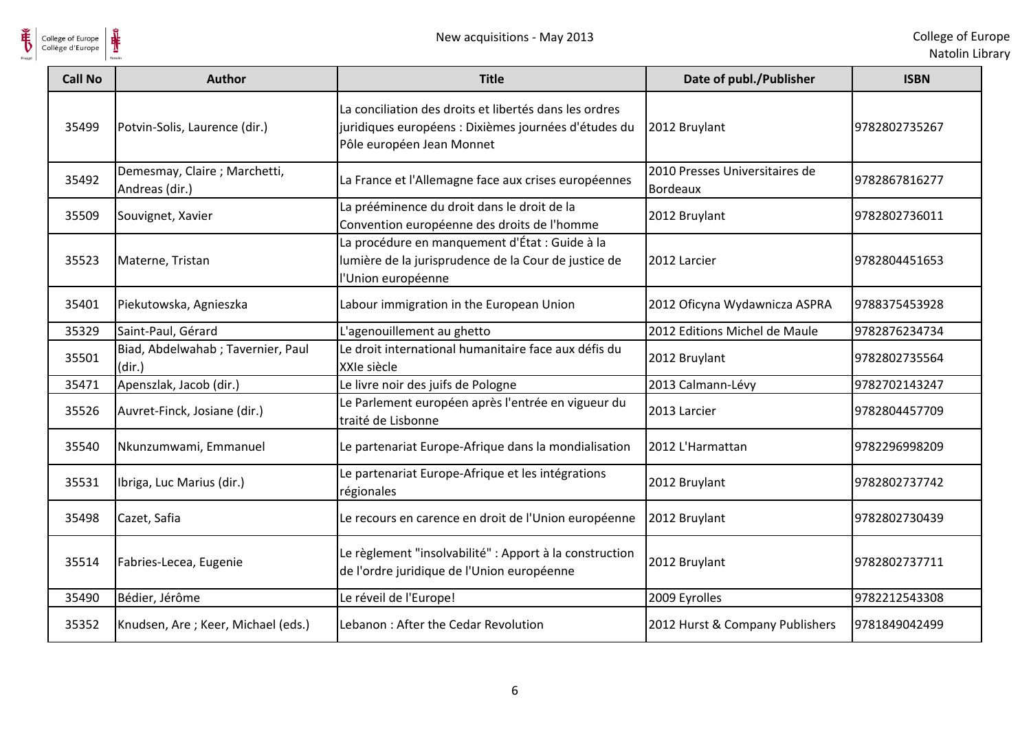

| <b>Call No</b> | <b>Author</b>                                  | <b>Title</b>                                                                                                                                | Date of publ./Publisher                           | <b>ISBN</b>   |
|----------------|------------------------------------------------|---------------------------------------------------------------------------------------------------------------------------------------------|---------------------------------------------------|---------------|
| 35499          | Potvin-Solis, Laurence (dir.)                  | La conciliation des droits et libertés dans les ordres<br>juridiques européens : Dixièmes journées d'études du<br>Pôle européen Jean Monnet | 2012 Bruylant                                     | 9782802735267 |
| 35492          | Demesmay, Claire; Marchetti,<br>Andreas (dir.) | La France et l'Allemagne face aux crises européennes                                                                                        | 2010 Presses Universitaires de<br><b>Bordeaux</b> | 9782867816277 |
| 35509          | Souvignet, Xavier                              | La prééminence du droit dans le droit de la<br>Convention européenne des droits de l'homme                                                  | 2012 Bruylant                                     | 9782802736011 |
| 35523          | Materne, Tristan                               | La procédure en manquement d'État : Guide à la<br>lumière de la jurisprudence de la Cour de justice de<br>l'Union européenne                | 2012 Larcier                                      | 9782804451653 |
| 35401          | Piekutowska, Agnieszka                         | Labour immigration in the European Union                                                                                                    | 2012 Oficyna Wydawnicza ASPRA                     | 9788375453928 |
| 35329          | Saint-Paul, Gérard                             | L'agenouillement au ghetto                                                                                                                  | 2012 Editions Michel de Maule                     | 9782876234734 |
| 35501          | Biad, Abdelwahab ; Tavernier, Paul<br>(dir.)   | Le droit international humanitaire face aux défis du<br>XXIe siècle                                                                         | 2012 Bruylant                                     | 9782802735564 |
| 35471          | Apenszlak, Jacob (dir.)                        | Le livre noir des juifs de Pologne                                                                                                          | 2013 Calmann-Lévy                                 | 9782702143247 |
| 35526          | Auvret-Finck, Josiane (dir.)                   | Le Parlement européen après l'entrée en vigueur du<br>traité de Lisbonne                                                                    | 2013 Larcier                                      | 9782804457709 |
| 35540          | Nkunzumwami, Emmanuel                          | Le partenariat Europe-Afrique dans la mondialisation                                                                                        | 2012 L'Harmattan                                  | 9782296998209 |
| 35531          | Ibriga, Luc Marius (dir.)                      | Le partenariat Europe-Afrique et les intégrations<br>régionales                                                                             | 2012 Bruylant                                     | 9782802737742 |
| 35498          | Cazet, Safia                                   | Le recours en carence en droit de l'Union européenne                                                                                        | 2012 Bruylant                                     | 9782802730439 |
| 35514          | Fabries-Lecea, Eugenie                         | Le règlement "insolvabilité" : Apport à la construction<br>de l'ordre juridique de l'Union européenne                                       | 2012 Bruylant                                     | 9782802737711 |
| 35490          | Bédier, Jérôme                                 | Le réveil de l'Europe!                                                                                                                      | 2009 Eyrolles                                     | 9782212543308 |
| 35352          | Knudsen, Are; Keer, Michael (eds.)             | Lebanon: After the Cedar Revolution                                                                                                         | 2012 Hurst & Company Publishers                   | 9781849042499 |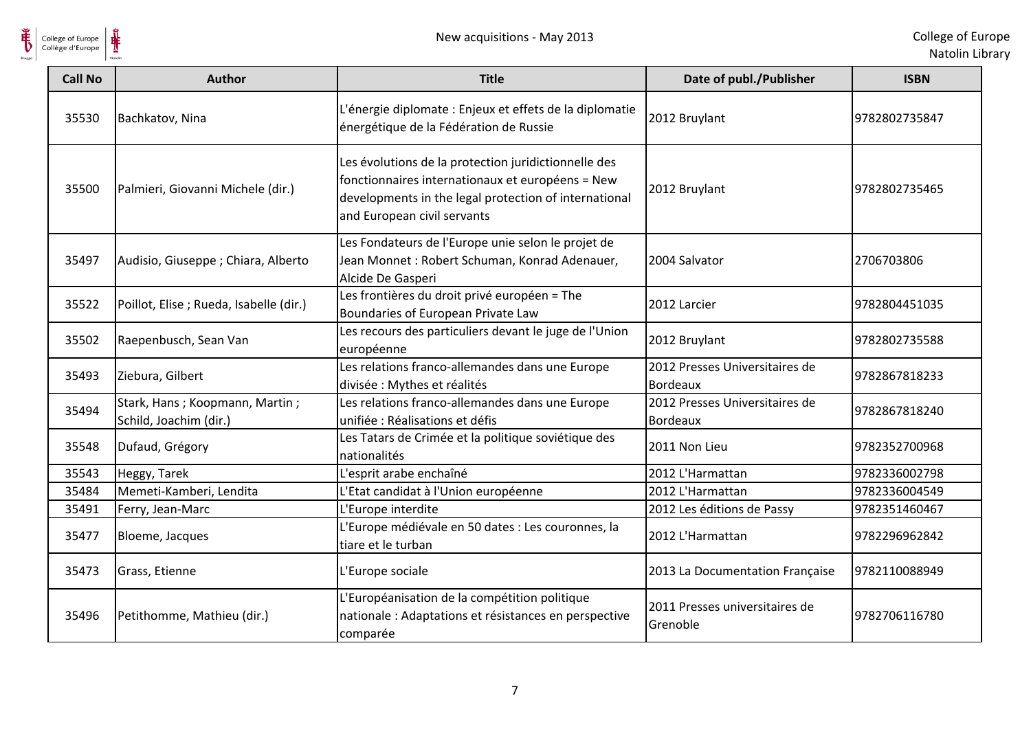

| <b>Call No</b> | <b>Author</b>                                            | <b>Title</b>                                                                                                                                                                                     | Date of publ./Publisher                           | <b>ISBN</b>   |
|----------------|----------------------------------------------------------|--------------------------------------------------------------------------------------------------------------------------------------------------------------------------------------------------|---------------------------------------------------|---------------|
| 35530          | Bachkatov, Nina                                          | L'énergie diplomate : Enjeux et effets de la diplomatie<br>énergétique de la Fédération de Russie                                                                                                | 2012 Bruylant                                     | 9782802735847 |
| 35500          | Palmieri, Giovanni Michele (dir.)                        | Les évolutions de la protection juridictionnelle des<br>fonctionnaires internationaux et européens = New<br>developments in the legal protection of international<br>and European civil servants | 2012 Bruylant                                     | 9782802735465 |
| 35497          | Audisio, Giuseppe; Chiara, Alberto                       | Les Fondateurs de l'Europe unie selon le projet de<br>Jean Monnet: Robert Schuman, Konrad Adenauer,<br>Alcide De Gasperi                                                                         | 2004 Salvator                                     | 2706703806    |
| 35522          | Poillot, Elise ; Rueda, Isabelle (dir.)                  | Les frontières du droit privé européen = The<br>Boundaries of European Private Law                                                                                                               | 2012 Larcier                                      | 9782804451035 |
| 35502          | Raepenbusch, Sean Van                                    | Les recours des particuliers devant le juge de l'Union<br>européenne                                                                                                                             | 2012 Bruylant                                     | 9782802735588 |
| 35493          | Ziebura, Gilbert                                         | Les relations franco-allemandes dans une Europe<br>divisée : Mythes et réalités                                                                                                                  | 2012 Presses Universitaires de<br><b>Bordeaux</b> | 9782867818233 |
| 35494          | Stark, Hans; Koopmann, Martin;<br>Schild, Joachim (dir.) | Les relations franco-allemandes dans une Europe<br>unifiée : Réalisations et défis                                                                                                               | 2012 Presses Universitaires de<br><b>Bordeaux</b> | 9782867818240 |
| 35548          | Dufaud, Grégory                                          | Les Tatars de Crimée et la politique soviétique des<br>nationalités                                                                                                                              | 2011 Non Lieu                                     | 9782352700968 |
| 35543          | Heggy, Tarek                                             | L'esprit arabe enchaîné                                                                                                                                                                          | 2012 L'Harmattan                                  | 9782336002798 |
| 35484          | Memeti-Kamberi, Lendita                                  | L'Etat candidat à l'Union européenne                                                                                                                                                             | 2012 L'Harmattan                                  | 9782336004549 |
| 35491          | Ferry, Jean-Marc                                         | L'Europe interdite                                                                                                                                                                               | 2012 Les éditions de Passy                        | 9782351460467 |
| 35477          | Bloeme, Jacques                                          | L'Europe médiévale en 50 dates : Les couronnes, la<br>tiare et le turban                                                                                                                         | 2012 L'Harmattan                                  | 9782296962842 |
| 35473          | Grass, Etienne                                           | L'Europe sociale                                                                                                                                                                                 | 2013 La Documentation Française                   | 9782110088949 |
| 35496          | Petithomme, Mathieu (dir.)                               | L'Européanisation de la compétition politique<br>nationale : Adaptations et résistances en perspective<br>comparée                                                                               | 2011 Presses universitaires de<br>Grenoble        | 9782706116780 |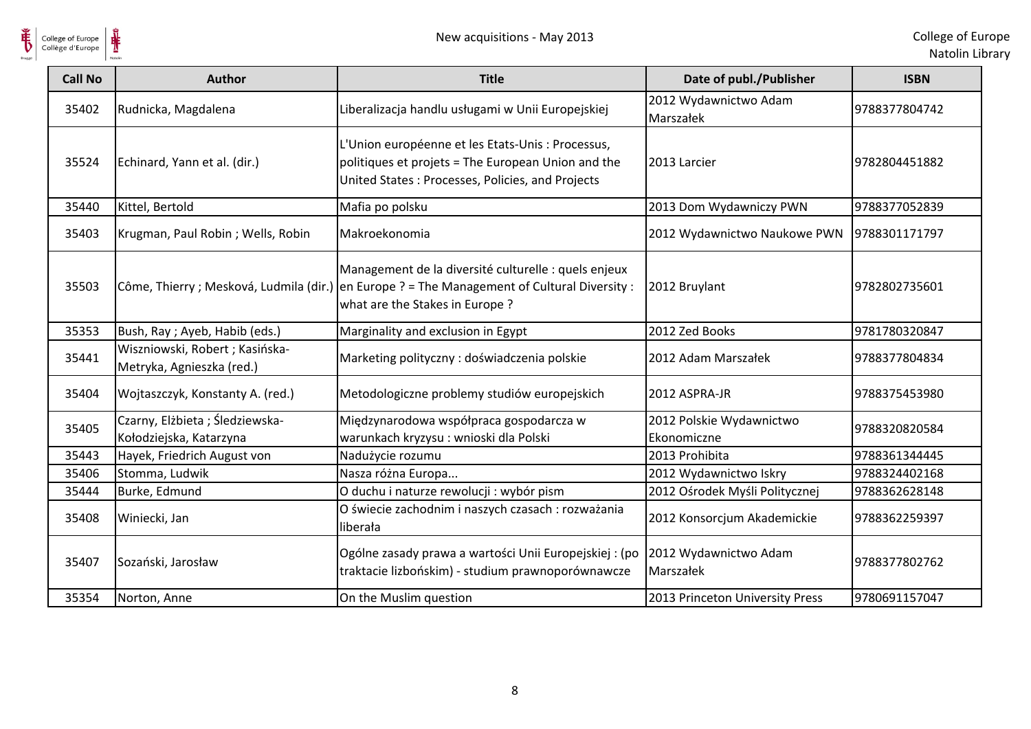

| <b>Call No</b> | <b>Author</b>                                                | <b>Title</b>                                                                                                                                                                           | Date of publ./Publisher                 | <b>ISBN</b>   |
|----------------|--------------------------------------------------------------|----------------------------------------------------------------------------------------------------------------------------------------------------------------------------------------|-----------------------------------------|---------------|
| 35402          | Rudnicka, Magdalena                                          | Liberalizacja handlu usługami w Unii Europejskiej                                                                                                                                      | 2012 Wydawnictwo Adam<br>Marszałek      | 9788377804742 |
| 35524          | Echinard, Yann et al. (dir.)                                 | L'Union européenne et les Etats-Unis : Processus,<br>politiques et projets = The European Union and the<br>United States: Processes, Policies, and Projects                            | 2013 Larcier                            | 9782804451882 |
| 35440          | Kittel, Bertold                                              | Mafia po polsku                                                                                                                                                                        | 2013 Dom Wydawniczy PWN                 | 9788377052839 |
| 35403          | Krugman, Paul Robin; Wells, Robin                            | Makroekonomia                                                                                                                                                                          | 2012 Wydawnictwo Naukowe PWN            | 9788301171797 |
| 35503          |                                                              | Management de la diversité culturelle : quels enjeux<br>Côme, Thierry ; Mesková, Ludmila (dir.) en Europe ? = The Management of Cultural Diversity :<br>what are the Stakes in Europe? | 2012 Bruylant                           | 9782802735601 |
| 35353          | Bush, Ray; Ayeb, Habib (eds.)                                | Marginality and exclusion in Egypt                                                                                                                                                     | 2012 Zed Books                          | 9781780320847 |
| 35441          | Wiszniowski, Robert ; Kasińska-<br>Metryka, Agnieszka (red.) | Marketing polityczny: doświadczenia polskie                                                                                                                                            | 2012 Adam Marszałek                     | 9788377804834 |
| 35404          | Wojtaszczyk, Konstanty A. (red.)                             | Metodologiczne problemy studiów europejskich                                                                                                                                           | 2012 ASPRA-JR                           | 9788375453980 |
| 35405          | Czarny, Elżbieta; Śledziewska-<br>Kołodziejska, Katarzyna    | Międzynarodowa współpraca gospodarcza w<br>warunkach kryzysu : wnioski dla Polski                                                                                                      | 2012 Polskie Wydawnictwo<br>Ekonomiczne | 9788320820584 |
| 35443          | Hayek, Friedrich August von                                  | Nadużycie rozumu                                                                                                                                                                       | 2013 Prohibita                          | 9788361344445 |
| 35406          | Stomma, Ludwik                                               | Nasza różna Europa                                                                                                                                                                     | 2012 Wydawnictwo Iskry                  | 9788324402168 |
| 35444          | Burke, Edmund                                                | O duchu i naturze rewolucji : wybór pism                                                                                                                                               | 2012 Ośrodek Myśli Politycznej          | 9788362628148 |
| 35408          | Winiecki, Jan                                                | O świecie zachodnim i naszych czasach : rozważania<br>liberała                                                                                                                         | 2012 Konsorcjum Akademickie             | 9788362259397 |
| 35407          | Sozański, Jarosław                                           | Ogólne zasady prawa a wartości Unii Europejskiej : (po<br>traktacie lizbońskim) - studium prawnoporównawcze                                                                            | 2012 Wydawnictwo Adam<br>Marszałek      | 9788377802762 |
| 35354          | Norton, Anne                                                 | On the Muslim question                                                                                                                                                                 | 2013 Princeton University Press         | 9780691157047 |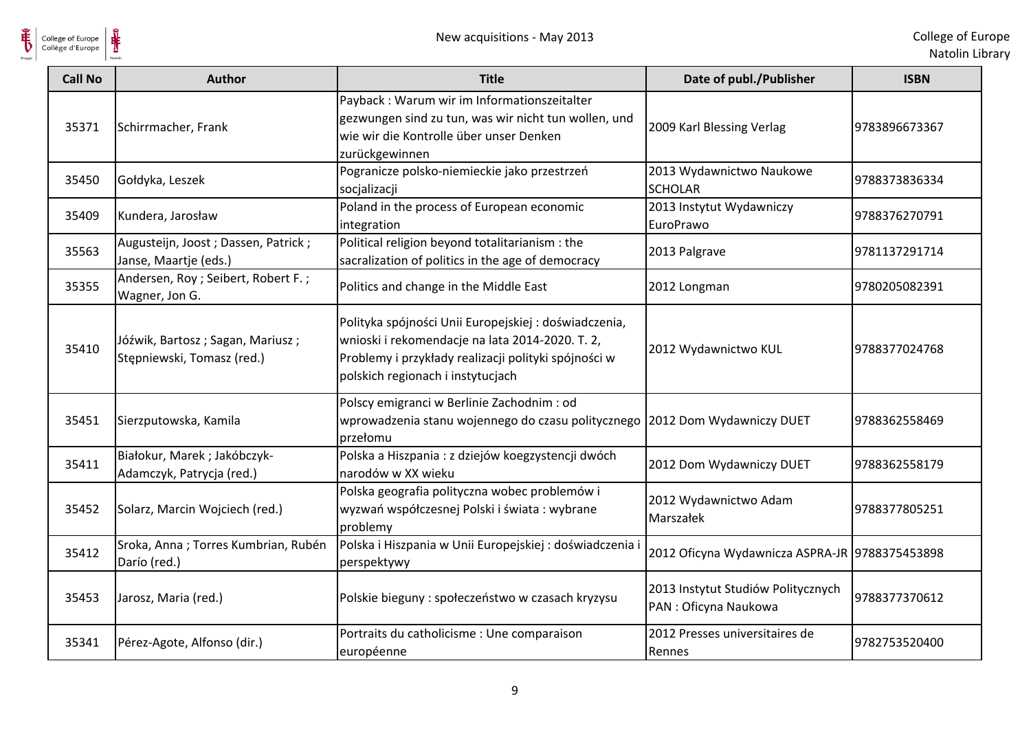

| <b>Call No</b> | <b>Author</b>                                                  | <b>Title</b>                                                                                                                                                                                         | Date of publ./Publisher                                     | <b>ISBN</b>   |
|----------------|----------------------------------------------------------------|------------------------------------------------------------------------------------------------------------------------------------------------------------------------------------------------------|-------------------------------------------------------------|---------------|
| 35371          | Schirrmacher, Frank                                            | Payback : Warum wir im Informationszeitalter<br>gezwungen sind zu tun, was wir nicht tun wollen, und<br>wie wir die Kontrolle über unser Denken<br>zurückgewinnen                                    | 2009 Karl Blessing Verlag                                   | 9783896673367 |
| 35450          | Gołdyka, Leszek                                                | Pogranicze polsko-niemieckie jako przestrzeń<br>socjalizacji                                                                                                                                         | 2013 Wydawnictwo Naukowe<br><b>SCHOLAR</b>                  | 9788373836334 |
| 35409          | Kundera, Jarosław                                              | Poland in the process of European economic<br>integration                                                                                                                                            | 2013 Instytut Wydawniczy<br>EuroPrawo                       | 9788376270791 |
| 35563          | Augusteijn, Joost; Dassen, Patrick;<br>Janse, Maartje (eds.)   | Political religion beyond totalitarianism : the<br>sacralization of politics in the age of democracy                                                                                                 | 2013 Palgrave                                               | 9781137291714 |
| 35355          | Andersen, Roy ; Seibert, Robert F. ;<br>Wagner, Jon G.         | Politics and change in the Middle East                                                                                                                                                               | 2012 Longman                                                | 9780205082391 |
| 35410          | Jóźwik, Bartosz; Sagan, Mariusz;<br>Stępniewski, Tomasz (red.) | Polityka spójności Unii Europejskiej: doświadczenia,<br>wnioski i rekomendacje na lata 2014-2020. T. 2,<br>Problemy i przykłady realizacji polityki spójności w<br>polskich regionach i instytucjach | 2012 Wydawnictwo KUL                                        | 9788377024768 |
| 35451          | Sierzputowska, Kamila                                          | Polscy emigranci w Berlinie Zachodnim : od<br>wprowadzenia stanu wojennego do czasu politycznego 2012 Dom Wydawniczy DUET<br>przełomu                                                                |                                                             | 9788362558469 |
| 35411          | Białokur, Marek; Jakóbczyk-<br>Adamczyk, Patrycja (red.)       | Polska a Hiszpania : z dziejów koegzystencji dwóch<br>narodów w XX wieku                                                                                                                             | 2012 Dom Wydawniczy DUET                                    | 9788362558179 |
| 35452          | Solarz, Marcin Wojciech (red.)                                 | Polska geografia polityczna wobec problemów i<br>wyzwań współczesnej Polski i świata: wybrane<br>problemy                                                                                            | 2012 Wydawnictwo Adam<br>Marszałek                          | 9788377805251 |
| 35412          | Sroka, Anna; Torres Kumbrian, Rubén<br>Darío (red.)            | Polska i Hiszpania w Unii Europejskiej : doświadczenia<br>perspektywy                                                                                                                                | 2012 Oficyna Wydawnicza ASPRA-JR 9788375453898              |               |
| 35453          | Jarosz, Maria (red.)                                           | Polskie bieguny : społeczeństwo w czasach kryzysu                                                                                                                                                    | 2013 Instytut Studiów Politycznych<br>PAN : Oficyna Naukowa | 9788377370612 |
| 35341          | Pérez-Agote, Alfonso (dir.)                                    | Portraits du catholicisme : Une comparaison<br>européenne                                                                                                                                            | 2012 Presses universitaires de<br>Rennes                    | 9782753520400 |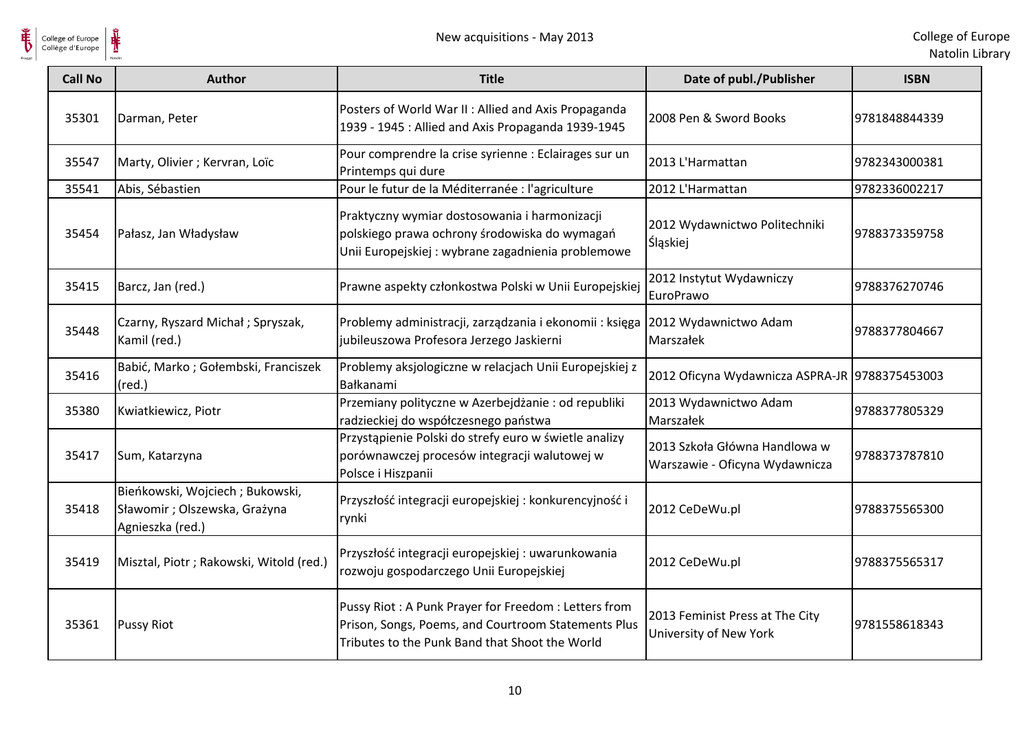

| <b>Call No</b> | <b>Author</b>                                                                       | <b>Title</b>                                                                                                                                                 | Date of publ./Publisher                                         | <b>ISBN</b>   |
|----------------|-------------------------------------------------------------------------------------|--------------------------------------------------------------------------------------------------------------------------------------------------------------|-----------------------------------------------------------------|---------------|
| 35301          | Darman, Peter                                                                       | Posters of World War II: Allied and Axis Propaganda<br>1939 - 1945 : Allied and Axis Propaganda 1939-1945                                                    | 2008 Pen & Sword Books                                          | 9781848844339 |
| 35547          | Marty, Olivier; Kervran, Loïc                                                       | Pour comprendre la crise syrienne : Eclairages sur un<br>Printemps qui dure                                                                                  | 2013 L'Harmattan                                                | 9782343000381 |
| 35541          | Abis, Sébastien                                                                     | Pour le futur de la Méditerranée : l'agriculture                                                                                                             | 2012 L'Harmattan                                                | 9782336002217 |
| 35454          | Pałasz, Jan Władysław                                                               | Praktyczny wymiar dostosowania i harmonizacji<br>polskiego prawa ochrony środowiska do wymagań<br>Unii Europejskiej : wybrane zagadnienia problemowe         | 2012 Wydawnictwo Politechniki<br>Śląskiej                       | 9788373359758 |
| 35415          | Barcz, Jan (red.)                                                                   | Prawne aspekty członkostwa Polski w Unii Europejskiej                                                                                                        | 2012 Instytut Wydawniczy<br>EuroPrawo                           | 9788376270746 |
| 35448          | Czarny, Ryszard Michał; Spryszak,<br>Kamil (red.)                                   | Problemy administracji, zarządzania i ekonomii: księga<br>jubileuszowa Profesora Jerzego Jaskierni                                                           | 2012 Wydawnictwo Adam<br>Marszałek                              | 9788377804667 |
| 35416          | Babić, Marko; Gołembski, Franciszek<br>$(\text{red.})$                              | Problemy aksjologiczne w relacjach Unii Europejskiej z<br>Bałkanami                                                                                          | 2012 Oficyna Wydawnicza ASPRA-JR 9788375453003                  |               |
| 35380          | Kwiatkiewicz, Piotr                                                                 | Przemiany polityczne w Azerbejdżanie: od republiki<br>radzieckiej do współczesnego państwa                                                                   | 2013 Wydawnictwo Adam<br>Marszałek                              | 9788377805329 |
| 35417          | Sum, Katarzyna                                                                      | Przystąpienie Polski do strefy euro w świetle analizy<br>porównawczej procesów integracji walutowej w<br>Polsce i Hiszpanii                                  | 2013 Szkoła Główna Handlowa w<br>Warszawie - Oficyna Wydawnicza | 9788373787810 |
| 35418          | Bieńkowski, Wojciech; Bukowski,<br>Sławomir; Olszewska, Grażyna<br>Agnieszka (red.) | Przyszłość integracji europejskiej : konkurencyjność i<br>rynki                                                                                              | 2012 CeDeWu.pl                                                  | 9788375565300 |
| 35419          | Misztal, Piotr ; Rakowski, Witold (red.)                                            | Przyszłość integracji europejskiej : uwarunkowania<br>rozwoju gospodarczego Unii Europejskiej                                                                | 2012 CeDeWu.pl                                                  | 9788375565317 |
| 35361          | <b>Pussy Riot</b>                                                                   | Pussy Riot: A Punk Prayer for Freedom: Letters from<br>Prison, Songs, Poems, and Courtroom Statements Plus<br>Tributes to the Punk Band that Shoot the World | 2013 Feminist Press at The City<br>University of New York       | 9781558618343 |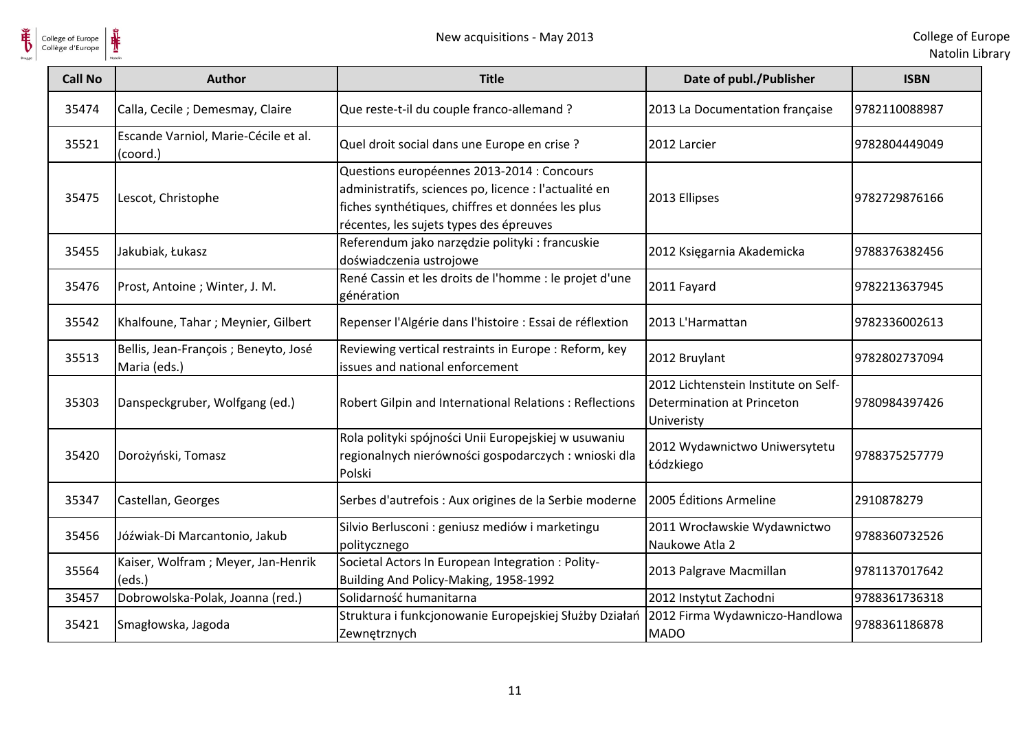

| <b>Call No</b> | <b>Author</b>                                         | <b>Title</b>                                                                                                                                                                                        | Date of publ./Publisher                                                          | <b>ISBN</b>   |
|----------------|-------------------------------------------------------|-----------------------------------------------------------------------------------------------------------------------------------------------------------------------------------------------------|----------------------------------------------------------------------------------|---------------|
| 35474          | Calla, Cecile ; Demesmay, Claire                      | Que reste-t-il du couple franco-allemand ?                                                                                                                                                          | 2013 La Documentation française                                                  | 9782110088987 |
| 35521          | Escande Varniol, Marie-Cécile et al.<br>(coord.)      | Quel droit social dans une Europe en crise ?                                                                                                                                                        | 2012 Larcier                                                                     | 9782804449049 |
| 35475          | Lescot, Christophe                                    | Questions européennes 2013-2014 : Concours<br>administratifs, sciences po, licence : l'actualité en<br>fiches synthétiques, chiffres et données les plus<br>récentes, les sujets types des épreuves | 2013 Ellipses                                                                    | 9782729876166 |
| 35455          | Jakubiak, Łukasz                                      | Referendum jako narzędzie polityki : francuskie<br>doświadczenia ustrojowe                                                                                                                          | 2012 Księgarnia Akademicka                                                       | 9788376382456 |
| 35476          | Prost, Antoine; Winter, J. M.                         | René Cassin et les droits de l'homme : le projet d'une<br>génération                                                                                                                                | 2011 Fayard                                                                      | 9782213637945 |
| 35542          | Khalfoune, Tahar; Meynier, Gilbert                    | Repenser l'Algérie dans l'histoire : Essai de réflextion                                                                                                                                            | 2013 L'Harmattan                                                                 | 9782336002613 |
| 35513          | Bellis, Jean-François ; Beneyto, José<br>Maria (eds.) | Reviewing vertical restraints in Europe : Reform, key<br>issues and national enforcement                                                                                                            | 2012 Bruylant                                                                    | 9782802737094 |
| 35303          | Danspeckgruber, Wolfgang (ed.)                        | Robert Gilpin and International Relations : Reflections                                                                                                                                             | 2012 Lichtenstein Institute on Self-<br>Determination at Princeton<br>Univeristy | 9780984397426 |
| 35420          | Dorożyński, Tomasz                                    | Rola polityki spójności Unii Europejskiej w usuwaniu<br>regionalnych nierówności gospodarczych : wnioski dla<br>Polski                                                                              | 2012 Wydawnictwo Uniwersytetu<br>Łódzkiego                                       | 9788375257779 |
| 35347          | Castellan, Georges                                    | Serbes d'autrefois : Aux origines de la Serbie moderne                                                                                                                                              | 2005 Éditions Armeline                                                           | 2910878279    |
| 35456          | Jóźwiak-Di Marcantonio, Jakub                         | Silvio Berlusconi : geniusz mediów i marketingu<br>politycznego                                                                                                                                     | 2011 Wrocławskie Wydawnictwo<br>Naukowe Atla 2                                   | 9788360732526 |
| 35564          | Kaiser, Wolfram; Meyer, Jan-Henrik<br>(eds.)          | Societal Actors In European Integration : Polity-<br>Building And Policy-Making, 1958-1992                                                                                                          | 2013 Palgrave Macmillan                                                          | 9781137017642 |
| 35457          | Dobrowolska-Polak, Joanna (red.)                      | Solidarność humanitarna                                                                                                                                                                             | 2012 Instytut Zachodni                                                           | 9788361736318 |
| 35421          | Smagłowska, Jagoda                                    | Struktura i funkcjonowanie Europejskiej Służby Działań<br>Zewnętrznych                                                                                                                              | 2012 Firma Wydawniczo-Handlowa<br><b>MADO</b>                                    | 9788361186878 |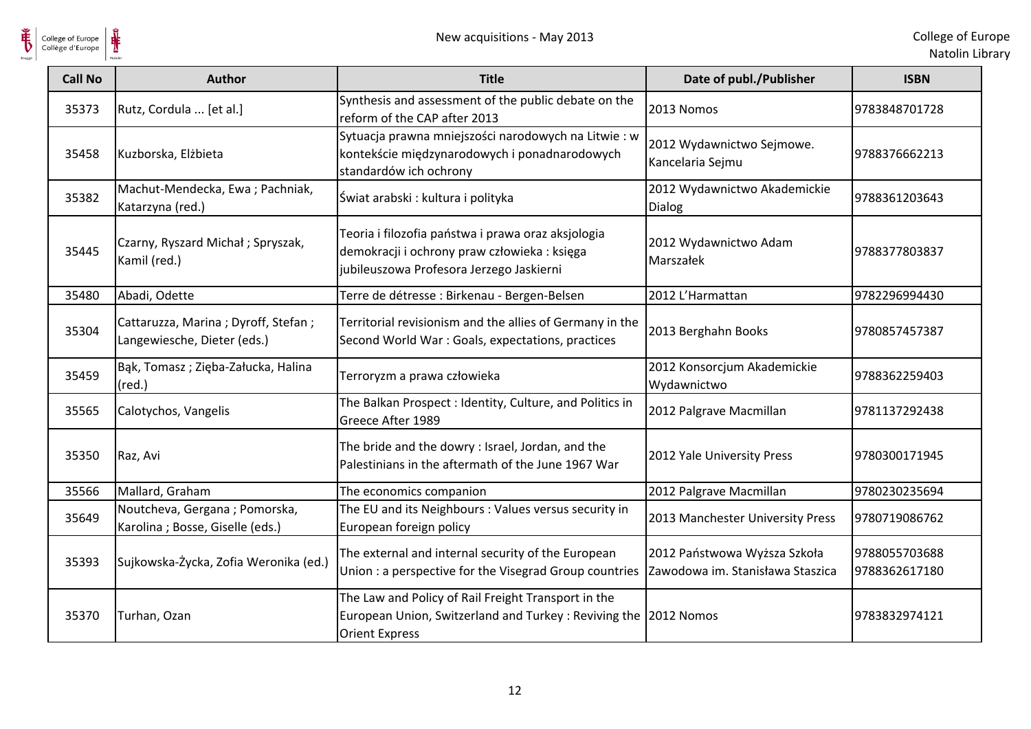

| <b>Call No</b> | <b>Author</b>                                                      | <b>Title</b>                                                                                                                                    | Date of publ./Publisher                                          | <b>ISBN</b>                    |
|----------------|--------------------------------------------------------------------|-------------------------------------------------------------------------------------------------------------------------------------------------|------------------------------------------------------------------|--------------------------------|
| 35373          | Rutz, Cordula  [et al.]                                            | Synthesis and assessment of the public debate on the<br>reform of the CAP after 2013                                                            | 2013 Nomos                                                       | 9783848701728                  |
| 35458          | Kuzborska, Elżbieta                                                | Sytuacja prawna mniejszości narodowych na Litwie : w<br>kontekście międzynarodowych i ponadnarodowych<br>standardów ich ochrony                 | 2012 Wydawnictwo Sejmowe.<br>Kancelaria Sejmu                    | 9788376662213                  |
| 35382          | Machut-Mendecka, Ewa; Pachniak,<br>Katarzyna (red.)                | Świat arabski: kultura i polityka                                                                                                               | 2012 Wydawnictwo Akademickie<br><b>Dialog</b>                    | 9788361203643                  |
| 35445          | Czarny, Ryszard Michał; Spryszak,<br>Kamil (red.)                  | Teoria i filozofia państwa i prawa oraz aksjologia<br>demokracji i ochrony praw człowieka : księga<br>jubileuszowa Profesora Jerzego Jaskierni  | 2012 Wydawnictwo Adam<br>Marszałek                               | 9788377803837                  |
| 35480          | Abadi, Odette                                                      | Terre de détresse : Birkenau - Bergen-Belsen                                                                                                    | 2012 L'Harmattan                                                 | 9782296994430                  |
| 35304          | Cattaruzza, Marina; Dyroff, Stefan;<br>Langewiesche, Dieter (eds.) | Territorial revisionism and the allies of Germany in the<br>Second World War: Goals, expectations, practices                                    | 2013 Berghahn Books                                              | 9780857457387                  |
| 35459          | Bąk, Tomasz; Zięba-Załucka, Halina<br>$(\text{red.})$              | Terroryzm a prawa człowieka                                                                                                                     | 2012 Konsorcjum Akademickie<br>Wydawnictwo                       | 9788362259403                  |
| 35565          | Calotychos, Vangelis                                               | The Balkan Prospect : Identity, Culture, and Politics in<br>Greece After 1989                                                                   | 2012 Palgrave Macmillan                                          | 9781137292438                  |
| 35350          | Raz, Avi                                                           | The bride and the dowry : Israel, Jordan, and the<br>Palestinians in the aftermath of the June 1967 War                                         | 2012 Yale University Press                                       | 9780300171945                  |
| 35566          | Mallard, Graham                                                    | The economics companion                                                                                                                         | 2012 Palgrave Macmillan                                          | 9780230235694                  |
| 35649          | Noutcheva, Gergana; Pomorska,<br>Karolina ; Bosse, Giselle (eds.)  | The EU and its Neighbours : Values versus security in<br>European foreign policy                                                                | 2013 Manchester University Press                                 | 9780719086762                  |
| 35393          | Sujkowska-Życka, Zofia Weronika (ed.)                              | The external and internal security of the European<br>Union : a perspective for the Visegrad Group countries                                    | 2012 Państwowa Wyższa Szkoła<br>Zawodowa im. Stanisława Staszica | 9788055703688<br>9788362617180 |
| 35370          | Turhan, Ozan                                                       | The Law and Policy of Rail Freight Transport in the<br>European Union, Switzerland and Turkey: Reviving the 2012 Nomos<br><b>Orient Express</b> |                                                                  | 9783832974121                  |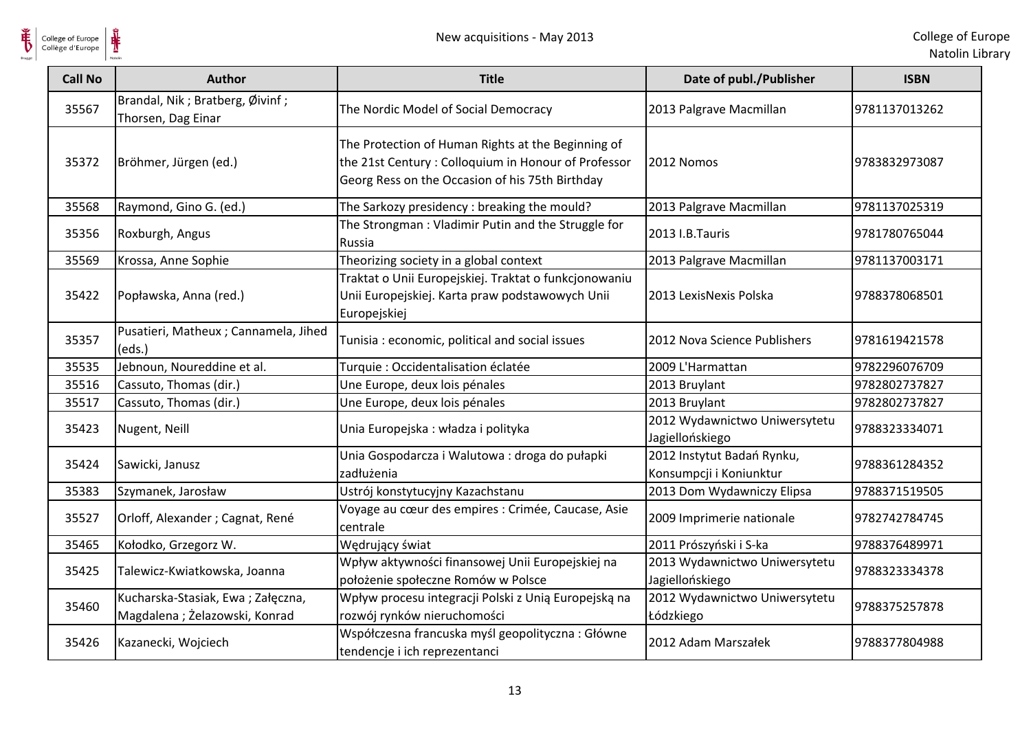

| <b>Call No</b> | <b>Author</b>                                                      | <b>Title</b>                                                                                                                                                 | Date of publ./Publisher                               | <b>ISBN</b>   |
|----------------|--------------------------------------------------------------------|--------------------------------------------------------------------------------------------------------------------------------------------------------------|-------------------------------------------------------|---------------|
| 35567          | Brandal, Nik; Bratberg, Øivinf;<br>Thorsen, Dag Einar              | The Nordic Model of Social Democracy                                                                                                                         | 2013 Palgrave Macmillan                               | 9781137013262 |
| 35372          | Bröhmer, Jürgen (ed.)                                              | The Protection of Human Rights at the Beginning of<br>the 21st Century: Colloquium in Honour of Professor<br>Georg Ress on the Occasion of his 75th Birthday | 2012 Nomos                                            | 9783832973087 |
| 35568          | Raymond, Gino G. (ed.)                                             | The Sarkozy presidency : breaking the mould?                                                                                                                 | 2013 Palgrave Macmillan                               | 9781137025319 |
| 35356          | Roxburgh, Angus                                                    | The Strongman: Vladimir Putin and the Struggle for<br>Russia                                                                                                 | 2013 I.B.Tauris                                       | 9781780765044 |
| 35569          | Krossa, Anne Sophie                                                | Theorizing society in a global context                                                                                                                       | 2013 Palgrave Macmillan                               | 9781137003171 |
| 35422          | Popławska, Anna (red.)                                             | Traktat o Unii Europejskiej. Traktat o funkcjonowaniu<br>Unii Europejskiej. Karta praw podstawowych Unii<br>Europejskiej                                     | 2013 LexisNexis Polska                                | 9788378068501 |
| 35357          | Pusatieri, Matheux ; Cannamela, Jihed<br>(eds.)                    | Tunisia: economic, political and social issues                                                                                                               | 2012 Nova Science Publishers                          | 9781619421578 |
| 35535          | Jebnoun, Noureddine et al.                                         | Turquie: Occidentalisation éclatée                                                                                                                           | 2009 L'Harmattan                                      | 9782296076709 |
| 35516          | Cassuto, Thomas (dir.)                                             | Une Europe, deux lois pénales                                                                                                                                | 2013 Bruylant                                         | 9782802737827 |
| 35517          | Cassuto, Thomas (dir.)                                             | Une Europe, deux lois pénales                                                                                                                                | 2013 Bruylant                                         | 9782802737827 |
| 35423          | Nugent, Neill                                                      | Unia Europejska: władza i polityka                                                                                                                           | 2012 Wydawnictwo Uniwersytetu<br>Jagiellońskiego      | 9788323334071 |
| 35424          | Sawicki, Janusz                                                    | Unia Gospodarcza i Walutowa : droga do pułapki<br>zadłużenia                                                                                                 | 2012 Instytut Badań Rynku,<br>Konsumpcji i Koniunktur | 9788361284352 |
| 35383          | Szymanek, Jarosław                                                 | Ustrój konstytucyjny Kazachstanu                                                                                                                             | 2013 Dom Wydawniczy Elipsa                            | 9788371519505 |
| 35527          | Orloff, Alexander ; Cagnat, René                                   | Voyage au cœur des empires : Crimée, Caucase, Asie<br>centrale                                                                                               | 2009 Imprimerie nationale                             | 9782742784745 |
| 35465          | Kołodko, Grzegorz W.                                               | Wędrujący świat                                                                                                                                              | 2011 Prószyński i S-ka                                | 9788376489971 |
| 35425          | Talewicz-Kwiatkowska, Joanna                                       | Wpływ aktywności finansowej Unii Europejskiej na<br>położenie społeczne Romów w Polsce                                                                       | 2013 Wydawnictwo Uniwersytetu<br>Jagiellońskiego      | 9788323334378 |
| 35460          | Kucharska-Stasiak, Ewa; Załęczna,<br>Magdalena; Żelazowski, Konrad | Wpływ procesu integracji Polski z Unią Europejską na<br>rozwój rynków nieruchomości                                                                          | 2012 Wydawnictwo Uniwersytetu<br>Łódzkiego            | 9788375257878 |
| 35426          | Kazanecki, Wojciech                                                | Współczesna francuska myśl geopolityczna: Główne<br>tendencje i ich reprezentanci                                                                            | 2012 Adam Marszałek                                   | 9788377804988 |